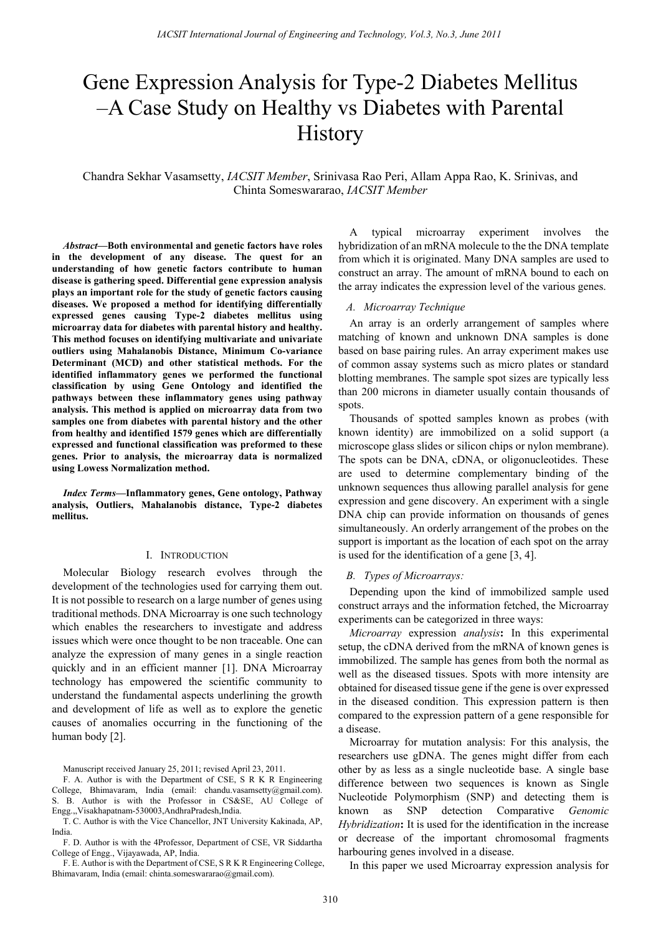# Gene Expression Analysis for Type-2 Diabetes Mellitus –A Case Study on Healthy vs Diabetes with Parental History

Chandra Sekhar Vasamsetty, *IACSIT Member*, Srinivasa Rao Peri, Allam Appa Rao, K. Srinivas, and Chinta Someswararao, *IACSIT Member*

*Abstract—***Both environmental and genetic factors have roles in the development of any disease. The quest for an understanding of how genetic factors contribute to human disease is gathering speed. Differential gene expression analysis plays an important role for the study of genetic factors causing diseases. We proposed a method for identifying differentially expressed genes causing Type-2 diabetes mellitus using microarray data for diabetes with parental history and healthy. This method focuses on identifying multivariate and univariate outliers using Mahalanobis Distance, Minimum Co-variance Determinant (MCD) and other statistical methods. For the identified inflammatory genes we performed the functional classification by using Gene Ontology and identified the pathways between these inflammatory genes using pathway analysis. This method is applied on microarray data from two samples one from diabetes with parental history and the other from healthy and identified 1579 genes which are differentially expressed and functional classification was preformed to these genes. Prior to analysis, the microarray data is normalized using Lowess Normalization method.** 

*Index Terms—***Inflammatory genes, Gene ontology, Pathway analysis, Outliers, Mahalanobis distance, Type-2 diabetes mellitus.** 

#### I. INTRODUCTION

Molecular Biology research evolves through the development of the technologies used for carrying them out. It is not possible to research on a large number of genes using traditional methods. DNA Microarray is one such technology which enables the researchers to investigate and address issues which were once thought to be non traceable. One can analyze the expression of many genes in a single reaction quickly and in an efficient manner [1]. DNA Microarray technology has empowered the scientific community to understand the fundamental aspects underlining the growth and development of life as well as to explore the genetic causes of anomalies occurring in the functioning of the human body [2].

Manuscript received January 25, 2011; revised April 23, 2011.

F. A. Author is with the Department of CSE, S R K R Engineering College, Bhimavaram, India (email: chandu.vasamsetty@gmail.com). S. B. Author is with the Professor in CS&SE, AU College of Engg.,,Visakhapatnam-530003,AndhraPradesh,India.

T. C. Author is with the Vice Chancellor, JNT University Kakinada, AP, India.

F. D. Author is with the 4Professor, Department of CSE, VR Siddartha College of Engg., Vijayawada, AP, India.

F. E. Author is with the Department of CSE, S R K R Engineering College, Bhimavaram, India (email: chinta.someswararao@gmail.com).

A typical microarray experiment involves the hybridization of an mRNA molecule to the the DNA template from which it is originated. Many DNA samples are used to construct an array. The amount of mRNA bound to each on the array indicates the expression level of the various genes.

#### *A. Microarray Technique*

An array is an orderly arrangement of samples where matching of known and unknown DNA samples is done based on base pairing rules. An array experiment makes use of common assay systems such as micro plates or standard blotting membranes. The sample spot sizes are typically less than 200 microns in diameter usually contain thousands of spots.

Thousands of spotted samples known as probes (with known identity) are immobilized on a solid support (a microscope glass slides or silicon chips or nylon membrane). The spots can be DNA, cDNA, or oligonucleotides. These are used to determine complementary binding of the unknown sequences thus allowing parallel analysis for gene expression and gene discovery. An experiment with a single DNA chip can provide information on thousands of genes simultaneously. An orderly arrangement of the probes on the support is important as the location of each spot on the array is used for the identification of a gene [3, 4].

## *B. Types of Microarrays:*

Depending upon the kind of immobilized sample used construct arrays and the information fetched, the Microarray experiments can be categorized in three ways:

*Microarray* expression *analysis***:** In this experimental setup, the cDNA derived from the mRNA of known genes is immobilized. The sample has genes from both the normal as well as the diseased tissues. Spots with more intensity are obtained for diseased tissue gene if the gene is over expressed in the diseased condition. This expression pattern is then compared to the expression pattern of a gene responsible for a disease.

Microarray for mutation analysis: For this analysis, the researchers use gDNA. The genes might differ from each other by as less as a single nucleotide base. A single base difference between two sequences is known as Single Nucleotide Polymorphism (SNP) and detecting them is known as SNP detection Comparative *Genomic Hybridization***:** It is used for the identification in the increase or decrease of the important chromosomal fragments harbouring genes involved in a disease.

In this paper we used Microarray expression analysis for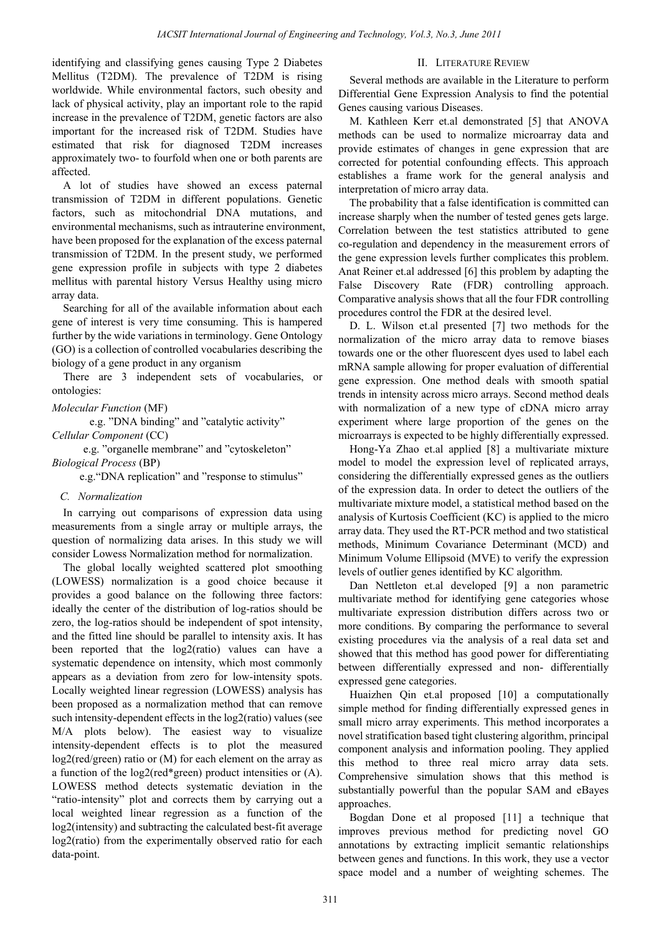identifying and classifying genes causing Type 2 Diabetes Mellitus (T2DM). The prevalence of T2DM is rising worldwide. While environmental factors, such obesity and lack of physical activity, play an important role to the rapid increase in the prevalence of T2DM, genetic factors are also important for the increased risk of T2DM. Studies have estimated that risk for diagnosed T2DM increases approximately two- to fourfold when one or both parents are affected.

A lot of studies have showed an excess paternal transmission of T2DM in different populations. Genetic factors, such as mitochondrial DNA mutations, and environmental mechanisms, such as intrauterine environment, have been proposed for the explanation of the excess paternal transmission of T2DM. In the present study, we performed gene expression profile in subjects with type 2 diabetes mellitus with parental history Versus Healthy using micro array data.

Searching for all of the available information about each gene of interest is very time consuming. This is hampered further by the wide variations in terminology. Gene Ontology (GO) is a collection of controlled vocabularies describing the biology of a gene product in any organism

There are 3 independent sets of vocabularies, or ontologies:

# *Molecular Function* (MF)

e.g. "DNA binding" and "catalytic activity"

## *Cellular Component* (CC)

e.g. "organelle membrane" and "cytoskeleton" *Biological Process* (BP)

e.g."DNA replication" and "response to stimulus"

# *C. Normalization*

In carrying out comparisons of expression data using measurements from a single array or multiple arrays, the question of normalizing data arises. In this study we will consider Lowess Normalization method for normalization.

The global locally weighted scattered plot smoothing (LOWESS) normalization is a good choice because it provides a good balance on the following three factors: ideally the center of the distribution of log-ratios should be zero, the log-ratios should be independent of spot intensity, and the fitted line should be parallel to intensity axis. It has been reported that the log2(ratio) values can have a systematic dependence on intensity, which most commonly appears as a deviation from zero for low-intensity spots. Locally weighted linear regression (LOWESS) analysis has been proposed as a normalization method that can remove such intensity-dependent effects in the log2(ratio) values (see M/A plots below). The easiest way to visualize intensity-dependent effects is to plot the measured log2(red/green) ratio or (M) for each element on the array as a function of the log2(red\*green) product intensities or (A). LOWESS method detects systematic deviation in the "ratio-intensity" plot and corrects them by carrying out a local weighted linear regression as a function of the log2(intensity) and subtracting the calculated best-fit average log2(ratio) from the experimentally observed ratio for each data-point.

# II. LITERATURE REVIEW

Several methods are available in the Literature to perform Differential Gene Expression Analysis to find the potential Genes causing various Diseases.

M. Kathleen Kerr et.al demonstrated [5] that ANOVA methods can be used to normalize microarray data and provide estimates of changes in gene expression that are corrected for potential confounding effects. This approach establishes a frame work for the general analysis and interpretation of micro array data.

The probability that a false identification is committed can increase sharply when the number of tested genes gets large. Correlation between the test statistics attributed to gene co-regulation and dependency in the measurement errors of the gene expression levels further complicates this problem. Anat Reiner et.al addressed [6] this problem by adapting the False Discovery Rate (FDR) controlling approach. Comparative analysis shows that all the four FDR controlling procedures control the FDR at the desired level.

D. L. Wilson et.al presented [7] two methods for the normalization of the micro array data to remove biases towards one or the other fluorescent dyes used to label each mRNA sample allowing for proper evaluation of differential gene expression. One method deals with smooth spatial trends in intensity across micro arrays. Second method deals with normalization of a new type of cDNA micro array experiment where large proportion of the genes on the microarrays is expected to be highly differentially expressed.

Hong-Ya Zhao et.al applied [8] a multivariate mixture model to model the expression level of replicated arrays, considering the differentially expressed genes as the outliers of the expression data. In order to detect the outliers of the multivariate mixture model, a statistical method based on the analysis of Kurtosis Coefficient (KC) is applied to the micro array data. They used the RT-PCR method and two statistical methods, Minimum Covariance Determinant (MCD) and Minimum Volume Ellipsoid (MVE) to verify the expression levels of outlier genes identified by KC algorithm.

Dan Nettleton et.al developed [9] a non parametric multivariate method for identifying gene categories whose multivariate expression distribution differs across two or more conditions. By comparing the performance to several existing procedures via the analysis of a real data set and showed that this method has good power for differentiating between differentially expressed and non- differentially expressed gene categories.

Huaizhen Qin et.al proposed [10] a computationally simple method for finding differentially expressed genes in small micro array experiments. This method incorporates a novel stratification based tight clustering algorithm, principal component analysis and information pooling. They applied this method to three real micro array data sets. Comprehensive simulation shows that this method is substantially powerful than the popular SAM and eBayes approaches.

Bogdan Done et al proposed [11] a technique that improves previous method for predicting novel GO annotations by extracting implicit semantic relationships between genes and functions. In this work, they use a vector space model and a number of weighting schemes. The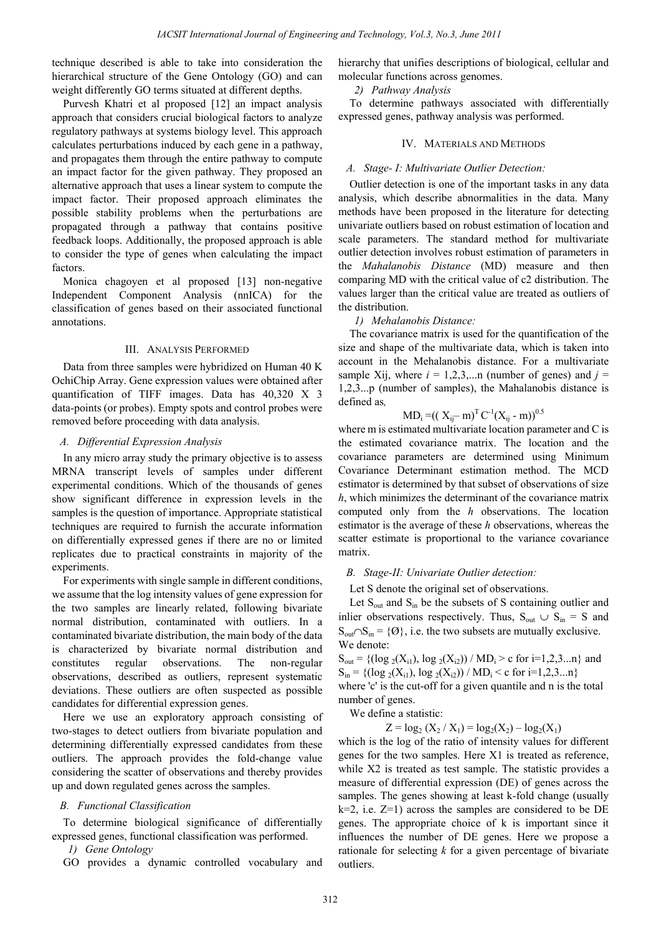technique described is able to take into consideration the hierarchical structure of the Gene Ontology (GO) and can weight differently GO terms situated at different depths.

Purvesh Khatri et al proposed [12] an impact analysis approach that considers crucial biological factors to analyze regulatory pathways at systems biology level. This approach calculates perturbations induced by each gene in a pathway, and propagates them through the entire pathway to compute an impact factor for the given pathway. They proposed an alternative approach that uses a linear system to compute the impact factor. Their proposed approach eliminates the possible stability problems when the perturbations are propagated through a pathway that contains positive feedback loops. Additionally, the proposed approach is able to consider the type of genes when calculating the impact factors.

Monica chagoyen et al proposed [13] non-negative Independent Component Analysis (nnICA) for the classification of genes based on their associated functional annotations.

#### III. ANALYSIS PERFORMED

Data from three samples were hybridized on Human 40 K OchiChip Array. Gene expression values were obtained after quantification of TIFF images. Data has 40,320 X 3 data-points (or probes). Empty spots and control probes were removed before proceeding with data analysis.

#### *A. Differential Expression Analysis*

In any micro array study the primary objective is to assess MRNA transcript levels of samples under different experimental conditions. Which of the thousands of genes show significant difference in expression levels in the samples is the question of importance. Appropriate statistical techniques are required to furnish the accurate information on differentially expressed genes if there are no or limited replicates due to practical constraints in majority of the experiments.

For experiments with single sample in different conditions, we assume that the log intensity values of gene expression for the two samples are linearly related, following bivariate normal distribution, contaminated with outliers. In a contaminated bivariate distribution, the main body of the data is characterized by bivariate normal distribution and constitutes regular observations. The non-regular observations, described as outliers, represent systematic deviations. These outliers are often suspected as possible candidates for differential expression genes.

Here we use an exploratory approach consisting of two-stages to detect outliers from bivariate population and determining differentially expressed candidates from these outliers. The approach provides the fold-change value considering the scatter of observations and thereby provides up and down regulated genes across the samples.

## *B. Functional Classification*

To determine biological significance of differentially expressed genes, functional classification was performed.

*1) Gene Ontology* 

GO provides a dynamic controlled vocabulary and

hierarchy that unifies descriptions of biological, cellular and molecular functions across genomes.

*2) Pathway Analysis* 

To determine pathways associated with differentially expressed genes, pathway analysis was performed.

## IV. MATERIALS AND METHODS

#### *A. Stage- I: Multivariate Outlier Detection:*

Outlier detection is one of the important tasks in any data analysis, which describe abnormalities in the data. Many methods have been proposed in the literature for detecting univariate outliers based on robust estimation of location and scale parameters. The standard method for multivariate outlier detection involves robust estimation of parameters in the *Mahalanobis Distance* (MD) measure and then comparing MD with the critical value of c2 distribution. The values larger than the critical value are treated as outliers of the distribution.

*1) Mehalanobis Distance:* 

The covariance matrix is used for the quantification of the size and shape of the multivariate data, which is taken into account in the Mehalanobis distance. For a multivariate sample Xij, where  $i = 1,2,3,...n$  (number of genes) and  $j =$ 1,2,3...p (number of samples), the Mahalanobis distance is defined as*,* 

 $MD_i = (( X_{ij} - m)^T C^{-1} (X_{ij} - m))^{0.5}$ 

where m is estimated multivariate location parameter and C is the estimated covariance matrix. The location and the covariance parameters are determined using Minimum Covariance Determinant estimation method. The MCD estimator is determined by that subset of observations of size *h*, which minimizes the determinant of the covariance matrix computed only from the *h* observations. The location estimator is the average of these *h* observations, whereas the scatter estimate is proportional to the variance covariance matrix.

#### *B. Stage-II: Univariate Outlier detection:*

Let S denote the original set of observations.

Let  $S_{out}$  and  $S_{in}$  be the subsets of S containing outlier and inlier observations respectively. Thus,  $S_{out} \cup S_{in} = S$  and  $S_{\text{out}} \cap S_{\text{in}} = \{0\}$ , i.e. the two subsets are mutually exclusive. We denote:

 $S_{out}$  = {(log <sub>2</sub>(X<sub>i1</sub>), log <sub>2</sub>(X<sub>i2</sub>)) / MD<sub>i</sub> > c for i=1,2,3...n} and  $S_{in}$  = {(log <sub>2</sub>(X<sub>i1</sub>), log <sub>2</sub>(X<sub>i2</sub>)) / MD<sub>i</sub> < c for i=1,2,3...n} where 'c' is the cut-off for a given quantile and n is the total number of genes.

We define a statistic:

 $Z = log_2 (X_2 / X_1) = log_2(X_2) - log_2(X_1)$ 

which is the log of the ratio of intensity values for different genes for the two samples. Here X1 is treated as reference, while X2 is treated as test sample. The statistic provides a measure of differential expression (DE) of genes across the samples. The genes showing at least k-fold change (usually  $k=2$ , i.e.  $Z=1$ ) across the samples are considered to be DE genes. The appropriate choice of k is important since it influences the number of DE genes. Here we propose a rationale for selecting *k* for a given percentage of bivariate outliers.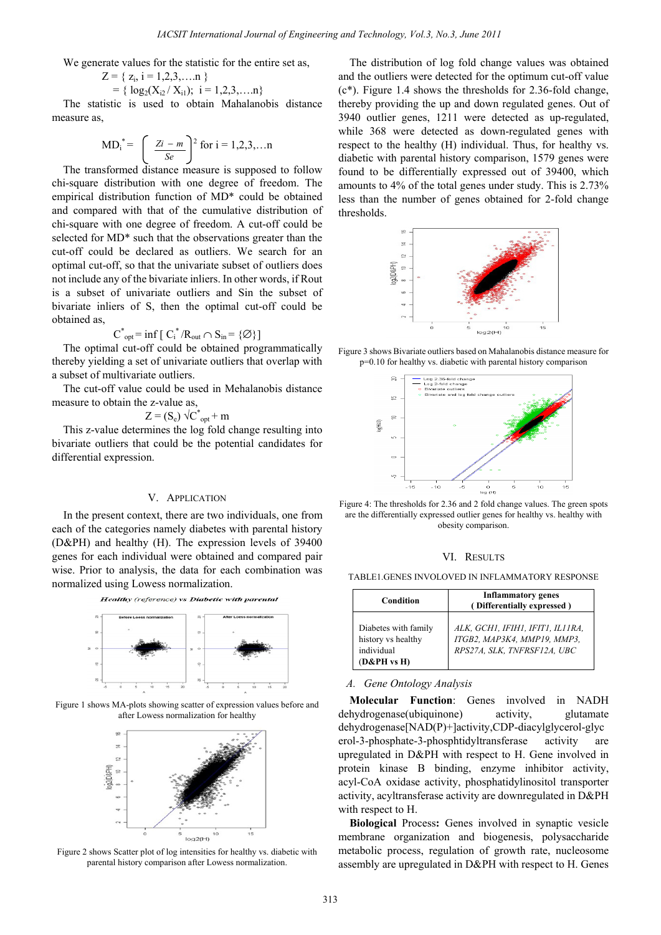We generate values for the statistic for the entire set as,

$$
Z = \{ z_i, i = 1, 2, 3, \dots n \}
$$
  
= { log<sub>2</sub>(X<sub>i2</sub>/ X<sub>i1</sub>); i = 1, 2, 3, ..., n}

The statistic is used to obtain Mahalanobis distance measure as,

MD<sub>i</sub><sup>\*</sup> = 
$$
\left(\frac{Zi - m}{Se}\right)^2
$$
 for  $i = 1, 2, 3, ...$  n

The transformed distance measure is supposed to follow chi-square distribution with one degree of freedom. The empirical distribution function of MD\* could be obtained and compared with that of the cumulative distribution of chi-square with one degree of freedom. A cut-off could be selected for MD\* such that the observations greater than the cut-off could be declared as outliers. We search for an optimal cut-off, so that the univariate subset of outliers does not include any of the bivariate inliers. In other words, if Rout is a subset of univariate outliers and Sin the subset of bivariate inliers of S, then the optimal cut-off could be obtained as,

$$
C^*_{opt} = inf [ C^*_i / R_{out} \cap S_{in} = \{ \varnothing \} ]
$$

The optimal cut-off could be obtained programmatically thereby yielding a set of univariate outliers that overlap with a subset of multivariate outliers.

The cut-off value could be used in Mehalanobis distance measure to obtain the z-value as,

$$
Z = (S_e) \sqrt{C_{opt}^*} + m
$$

This z-value determines the log fold change resulting into bivariate outliers that could be the potential candidates for differential expression.

#### V. APPLICATION

In the present context, there are two individuals, one from each of the categories namely diabetes with parental history (D&PH) and healthy (H). The expression levels of 39400 genes for each individual were obtained and compared pair wise. Prior to analysis, the data for each combination was normalized using Lowess normalization.



Figure 1 shows MA-plots showing scatter of expression values before and after Lowess normalization for healthy



Figure 2 shows Scatter plot of log intensities for healthy vs. diabetic with parental history comparison after Lowess normalization.

The distribution of log fold change values was obtained and the outliers were detected for the optimum cut-off value (c\*). Figure 1.4 shows the thresholds for 2.36-fold change, thereby providing the up and down regulated genes. Out of 3940 outlier genes, 1211 were detected as up-regulated, while 368 were detected as down-regulated genes with respect to the healthy (H) individual. Thus, for healthy vs. diabetic with parental history comparison, 1579 genes were found to be differentially expressed out of 39400, which amounts to 4% of the total genes under study. This is 2.73% less than the number of genes obtained for 2-fold change thresholds.



Figure 3 shows Bivariate outliers based on Mahalanobis distance measure for p=0.10 for healthy vs. diabetic with parental history comparison



Figure 4: The thresholds for 2.36 and 2 fold change values. The green spots are the differentially expressed outlier genes for healthy vs. healthy with obesity comparison.

## VI. RESULTS

TABLE1.GENES INVOLOVED IN INFLAMMATORY RESPONSE

| Condition                                                               | <b>Inflammatory</b> genes<br>(Differentially expressed)                                        |
|-------------------------------------------------------------------------|------------------------------------------------------------------------------------------------|
| Diabetes with family<br>history vs healthy<br>individual<br>(D&PH vs H) | ALK, GCH1, IFIH1, IFIT1, IL11RA,<br>ITGB2, MAP3K4, MMP19, MMP3,<br>RPS27A, SLK, TNFRSF12A, UBC |

#### *A. Gene Ontology Analysis*

**Molecular Function**: Genes involved in NADH dehydrogenase(ubiquinone) activity, glutamate dehydrogenase[NAD(P)+]activity,CDP-diacylglycerol-glyc erol-3-phosphate-3-phosphtidyltransferase activity are upregulated in D&PH with respect to H. Gene involved in protein kinase B binding, enzyme inhibitor activity, acyl-CoA oxidase activity, phosphatidylinositol transporter activity, acyltransferase activity are downregulated in D&PH with respect to H.

**Biological** Process**:** Genes involved in synaptic vesicle membrane organization and biogenesis, polysaccharide metabolic process, regulation of growth rate, nucleosome assembly are upregulated in D&PH with respect to H. Genes